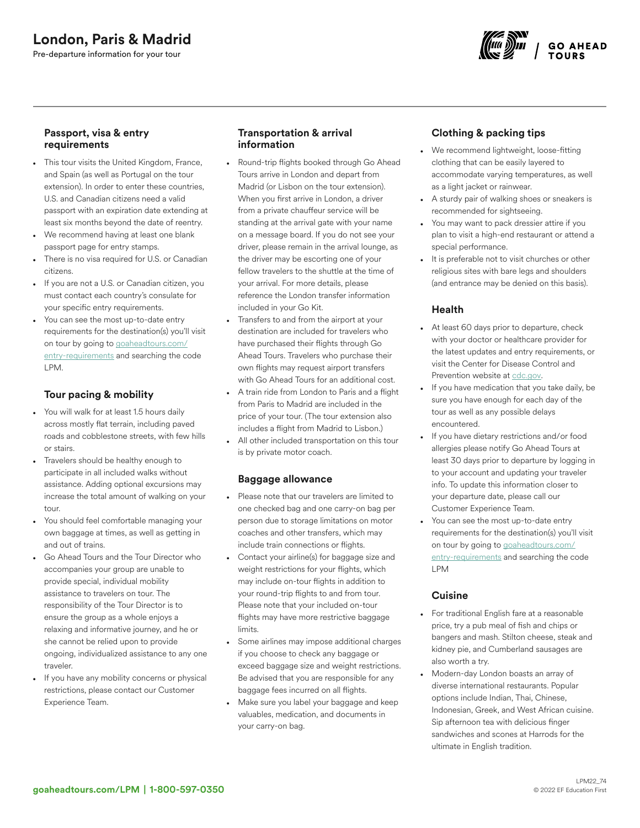

### Passport, visa & entry requirements

- This tour visits the United Kingdom, France, and Spain (as well as Portugal on the tour extension). In order to enter these countries, U.S. and Canadian citizens need a valid passport with an expiration date extending at least six months beyond the date of reentry.
- We recommend having at least one blank passport page for entry stamps.
- There is no visa required for U.S. or Canadian citizens.
- If you are not a U.S. or Canadian citizen, you must contact each country's consulate for your specific entry requirements.
- You can see the most up-to-date entry requirements for the destination(s) you'll visit on tour by going to [goaheadtours.com/](/entry-requirements?tourCode=LPM) [entry-requirements](/entry-requirements?tourCode=LPM) and searching the code LPM.

## Tour pacing & mobility

- You will walk for at least 1.5 hours daily across mostly flat terrain, including paved roads and cobblestone streets, with few hills or stairs.
- Travelers should be healthy enough to participate in all included walks without assistance. Adding optional excursions may increase the total amount of walking on your tour.
- You should feel comfortable managing your own baggage at times, as well as getting in and out of trains.
- Go Ahead Tours and the Tour Director who accompanies your group are unable to provide special, individual mobility assistance to travelers on tour. The responsibility of the Tour Director is to ensure the group as a whole enjoys a relaxing and informative journey, and he or she cannot be relied upon to provide ongoing, individualized assistance to any one traveler.
- If you have any mobility concerns or physical restrictions, please contact our Customer Experience Team.

### Transportation & arrival information

- Round-trip flights booked through Go Ahead Tours arrive in London and depart from Madrid (or Lisbon on the tour extension). When you first arrive in London, a driver from a private chauffeur service will be standing at the arrival gate with your name on a message board. If you do not see your driver, please remain in the arrival lounge, as the driver may be escorting one of your fellow travelers to the shuttle at the time of your arrival. For more details, please reference the London transfer information included in your Go Kit.
- Transfers to and from the airport at your destination are included for travelers who have purchased their flights through Go Ahead Tours. Travelers who purchase their own flights may request airport transfers with Go Ahead Tours for an additional cost.
- A train ride from London to Paris and a flight from Paris to Madrid are included in the price of your tour. (The tour extension also includes a flight from Madrid to Lisbon.)
- All other included transportation on this tour is by private motor coach.

### Baggage allowance

- Please note that our travelers are limited to one checked bag and one carry-on bag per person due to storage limitations on motor coaches and other transfers, which may include train connections or flights.
- Contact your airline(s) for baggage size and weight restrictions for your flights, which may include on-tour flights in addition to your round-trip flights to and from tour. Please note that your included on-tour flights may have more restrictive baggage limits.
- Some airlines may impose additional charges if you choose to check any baggage or exceed baggage size and weight restrictions. Be advised that you are responsible for any baggage fees incurred on all flights.
- Make sure you label your baggage and keep valuables, medication, and documents in your carry-on bag.

# Clothing & packing tips

- We recommend lightweight, loose-fitting clothing that can be easily layered to accommodate varying temperatures, as well as a light jacket or rainwear.
- A sturdy pair of walking shoes or sneakers is recommended for sightseeing.
- You may want to pack dressier attire if you plan to visit a high-end restaurant or attend a special performance.
- It is preferable not to visit churches or other religious sites with bare legs and shoulders (and entrance may be denied on this basis).

## Health

- At least 60 days prior to departure, check with your doctor or healthcare provider for the latest updates and entry requirements, or visit the Center for Disease Control and Prevention website at [cdc.gov.](https://www.cdc.gov/)
- If you have medication that you take daily, be sure you have enough for each day of the tour as well as any possible delays encountered.
- If you have dietary restrictions and/or food allergies please notify Go Ahead Tours at least 30 days prior to departure by logging in to your account and updating your traveler info. To update this information closer to your departure date, please call our Customer Experience Team.
- You can see the most up-to-date entry requirements for the destination(s) you'll visit on tour by going to [goaheadtours.com/](/entry-requirements?tourCode=LPM) [entry-requirements](/entry-requirements?tourCode=LPM) and searching the code LPM

### **Cuisine**

- For traditional English fare at a reasonable price, try a pub meal of fish and chips or bangers and mash. Stilton cheese, steak and kidney pie, and Cumberland sausages are also worth a try.
- Modern-day London boasts an array of diverse international restaurants. Popular options include Indian, Thai, Chinese, Indonesian, Greek, and West African cuisine. Sip afternoon tea with delicious finger sandwiches and scones at Harrods for the ultimate in English tradition.